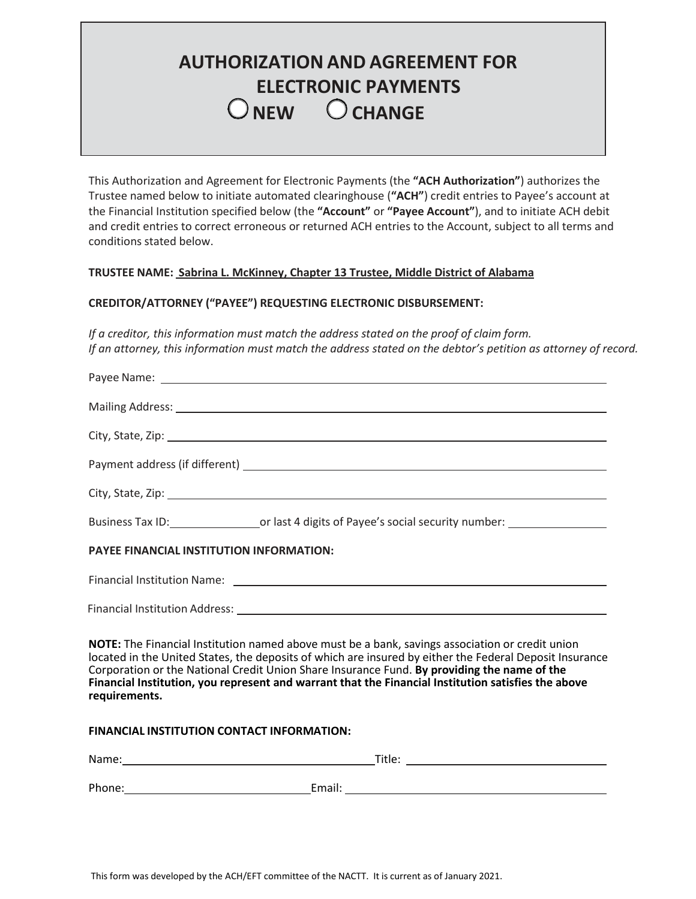# **AUTHORIZATION AND AGREEMENT FOR ELECTRONIC PAYMENTS NEW CHANGE**

This Authorization and Agreement for Electronic Payments (the **"ACH Authorization"**) authorizes the Trustee named below to initiate automated clearinghouse (**"ACH"**) credit entries to Payee's account at the Financial Institution specified below (the **"Account"** or **"Payee Account"**), and to initiate ACH debit and credit entries to correct erroneous or returned ACH entries to the Account, subject to all terms and conditions stated below.

## **TRUSTEE NAME: Sabrina L. McKinney, Chapter 13 Trustee, Middle District of Alabama**

### **CREDITOR/ATTORNEY ("PAYEE") REQUESTING ELECTRONIC DISBURSEMENT:**

*If a creditor, this information must match the address stated on the proof of claim form. If an attorney, this information must match the address stated on the debtor's petition as attorney of record.*

|                                                                                                                                                                                                                                                                                                                                                                                                                                   | Business Tax ID: or last 4 digits of Payee's social security number: |  |
|-----------------------------------------------------------------------------------------------------------------------------------------------------------------------------------------------------------------------------------------------------------------------------------------------------------------------------------------------------------------------------------------------------------------------------------|----------------------------------------------------------------------|--|
| <b>PAYEE FINANCIAL INSTITUTION INFORMATION:</b>                                                                                                                                                                                                                                                                                                                                                                                   |                                                                      |  |
|                                                                                                                                                                                                                                                                                                                                                                                                                                   |                                                                      |  |
|                                                                                                                                                                                                                                                                                                                                                                                                                                   |                                                                      |  |
| NOTE: The Financial Institution named above must be a bank, savings association or credit union<br>located in the United States, the deposits of which are insured by either the Federal Deposit Insurance<br>Corporation or the National Credit Union Share Insurance Fund. By providing the name of the<br>Financial Institution, you represent and warrant that the Financial Institution satisfies the above<br>requirements. |                                                                      |  |

#### **FINANCIAL INSTITUTION CONTACT INFORMATION:**

| Name:  | Title: |
|--------|--------|
|        |        |
| Phone: | Email: |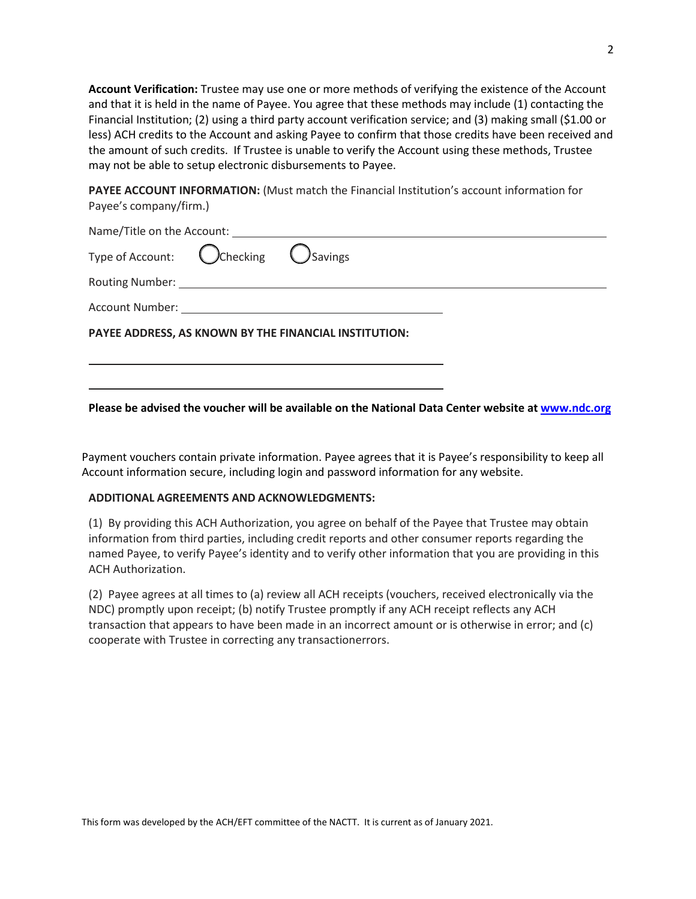**Account Verification:** Trustee may use one or more methods of verifying the existence of the Account and that it is held in the name of Payee. You agree that these methods may include (1) contacting the Financial Institution; (2) using a third party account verification service; and (3) making small (\$1.00 or less) ACH credits to the Account and asking Payee to confirm that those credits have been received and the amount of such credits. If Trustee is unable to verify the Account using these methods, Trustee may not be able to setup electronic disbursements to Payee.

**PAYEE ACCOUNT INFORMATION:** (Must match the Financial Institution's account information for Payee's company/firm.)

| Type of Account: Checking C Savings                   |  |
|-------------------------------------------------------|--|
|                                                       |  |
|                                                       |  |
| PAYEE ADDRESS, AS KNOWN BY THE FINANCIAL INSTITUTION: |  |
|                                                       |  |
|                                                       |  |

**Please be advised the voucher will be available on the National Data Center website at [www.ndc.org](http://www.ndc.org/)**

Payment vouchers contain private information. Payee agrees that it is Payee's responsibility to keep all Account information secure, including login and password information for any website.

#### **ADDITIONAL AGREEMENTS AND ACKNOWLEDGMENTS:**

(1) By providing this ACH Authorization, you agree on behalf of the Payee that Trustee may obtain information from third parties, including credit reports and other consumer reports regarding the named Payee, to verify Payee's identity and to verify other information that you are providing in this ACH Authorization.

(2) Payee agrees at all times to (a) review all ACH receipts (vouchers, received electronically via the NDC) promptly upon receipt; (b) notify Trustee promptly if any ACH receipt reflects any ACH transaction that appears to have been made in an incorrect amount or is otherwise in error; and (c) cooperate with Trustee in correcting any transactionerrors.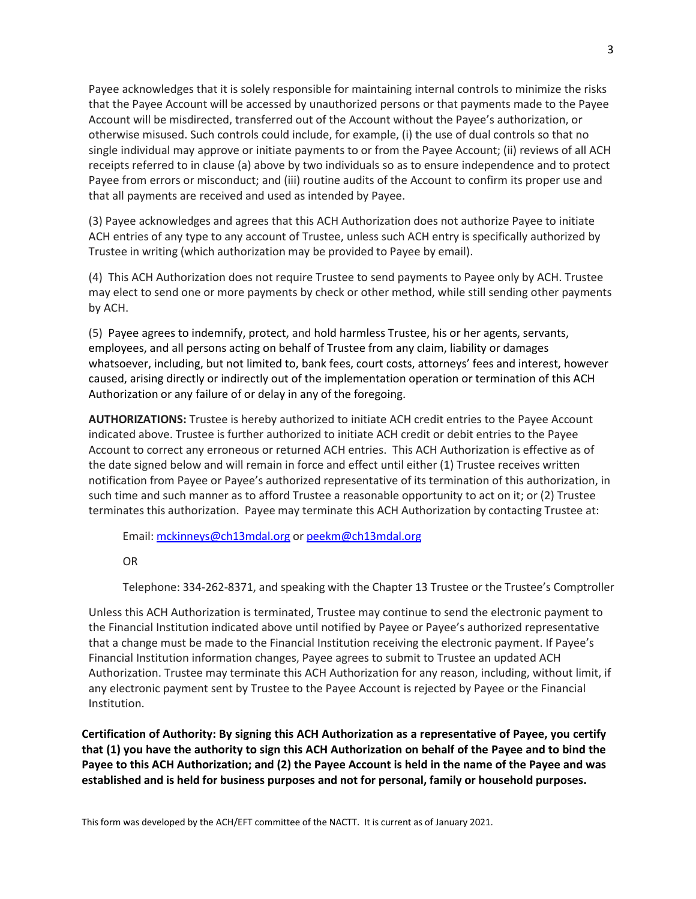Payee acknowledges that it is solely responsible for maintaining internal controls to minimize the risks that the Payee Account will be accessed by unauthorized persons or that payments made to the Payee Account will be misdirected, transferred out of the Account without the Payee's authorization, or otherwise misused. Such controls could include, for example, (i) the use of dual controls so that no single individual may approve or initiate payments to or from the Payee Account; (ii) reviews of all ACH receipts referred to in clause (a) above by two individuals so as to ensure independence and to protect Payee from errors or misconduct; and (iii) routine audits of the Account to confirm its proper use and that all payments are received and used as intended by Payee.

(3) Payee acknowledges and agrees that this ACH Authorization does not authorize Payee to initiate ACH entries of any type to any account of Trustee, unless such ACH entry is specifically authorized by Trustee in writing (which authorization may be provided to Payee by email).

(4) This ACH Authorization does not require Trustee to send payments to Payee only by ACH. Trustee may elect to send one or more payments by check or other method, while still sending other payments by ACH.

(5) Payee agrees to indemnify, protect, and hold harmless Trustee, his or her agents, servants, employees, and all persons acting on behalf of Trustee from any claim, liability or damages whatsoever, including, but not limited to, bank fees, court costs, attorneys' fees and interest, however caused, arising directly or indirectly out of the implementation operation or termination of this ACH Authorization or any failure of or delay in any of the foregoing.

**AUTHORIZATIONS:** Trustee is hereby authorized to initiate ACH credit entries to the Payee Account indicated above. Trustee is further authorized to initiate ACH credit or debit entries to the Payee Account to correct any erroneous or returned ACH entries. This ACH Authorization is effective as of the date signed below and will remain in force and effect until either (1) Trustee receives written notification from Payee or Payee's authorized representative of its termination of this authorization, in such time and such manner as to afford Trustee a reasonable opportunity to act on it; or (2) Trustee terminates this authorization. Payee may terminate this ACH Authorization by contacting Trustee at:

Email: [mckinneys@ch13mdal.org](mailto:mckinneys@ch13mdal.org) or [peekm@ch13mdal.org](mailto:peekm@ch13mdal.org)

## OR

Telephone: 334-262-8371, and speaking with the Chapter 13 Trustee or the Trustee's Comptroller

Unless this ACH Authorization is terminated, Trustee may continue to send the electronic payment to the Financial Institution indicated above until notified by Payee or Payee's authorized representative that a change must be made to the Financial Institution receiving the electronic payment. If Payee's Financial Institution information changes, Payee agrees to submit to Trustee an updated ACH Authorization. Trustee may terminate this ACH Authorization for any reason, including, without limit, if any electronic payment sent by Trustee to the Payee Account is rejected by Payee or the Financial Institution.

**Certification of Authority: By signing this ACH Authorization as a representative of Payee, you certify that (1) you have the authority to sign this ACH Authorization on behalf of the Payee and to bind the Payee to this ACH Authorization; and (2) the Payee Account is held in the name of the Payee and was established and is held for business purposes and not for personal, family or household purposes.**